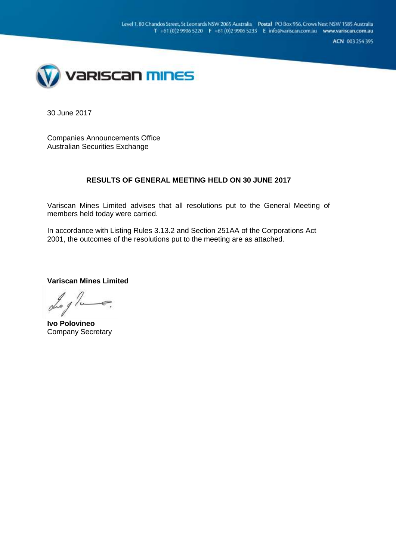ACN 003 254 395



30 June 2017

Companies Announcements Office Australian Securities Exchange

#### **RESULTS OF GENERAL MEETING HELD ON 30 JUNE 2017**

Variscan Mines Limited advises that all resolutions put to the General Meeting of members held today were carried.

In accordance with Listing Rules 3.13.2 and Section 251AA of the Corporations Act 2001, the outcomes of the resolutions put to the meeting are as attached.

**Variscan Mines Limited**

**Ivo Polovineo** Company Secretary